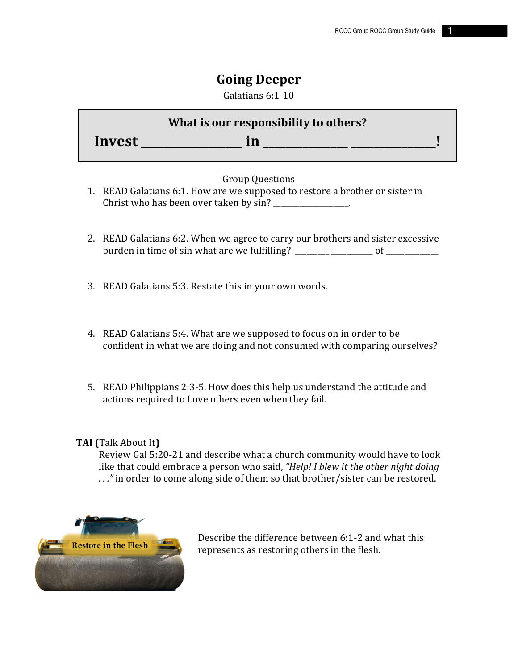# **Going Deeper**

Galatians 6:1-10

|        | What is our responsibility to others? |  |
|--------|---------------------------------------|--|
| Invest |                                       |  |

## Group Ouestions

- 1. READ Galatians 6:1. How are we supposed to restore a brother or sister in Christ who has been over taken by  $sin?$  \_\_\_\_\_\_\_\_\_\_\_\_\_\_\_\_.
- 2. READ Galatians 6:2. When we agree to carry our brothers and sister excessive burden in time of sin what are we fulfilling? \_\_\_\_\_\_\_\_\_ \_\_\_\_\_\_\_\_\_\_\_ of \_\_\_\_\_\_\_\_\_\_\_\_\_\_
- 3. READ Galatians 5:3. Restate this in your own words.
- 4. READ Galatians 5:4. What are we supposed to focus on in order to be confident in what we are doing and not consumed with comparing ourselves?
- 5. READ Philippians 2:3-5. How does this help us understand the attitude and actions required to Love others even when they fail.

## **TAI** (Talk About It)

Review Gal 5:20-21 and describe what a church community would have to look like that could embrace a person who said, *"Help! I blew it the other night doing* ..." in order to come along side of them so that brother/sister can be restored.



Describe the difference between 6:1-2 and what this represents as restoring others in the flesh.